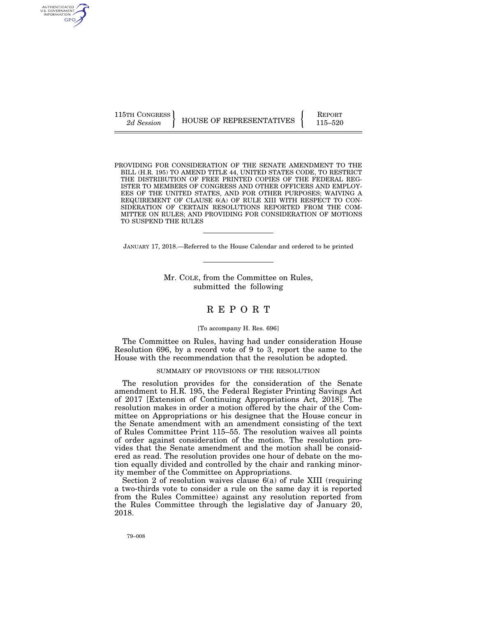AUTHENTICATED<br>U.S. GOVERNMENT<br>INFORMATION GPO

115TH CONGRESS HOUSE OF REPRESENTATIVES FEPORT 115–520

PROVIDING FOR CONSIDERATION OF THE SENATE AMENDMENT TO THE BILL (H.R. 195) TO AMEND TITLE 44, UNITED STATES CODE, TO RESTRICT THE DISTRIBUTION OF FREE PRINTED COPIES OF THE FEDERAL REG-ISTER TO MEMBERS OF CONGRESS AND OTHER OFFICERS AND EMPLOY-EES OF THE UNITED STATES, AND FOR OTHER PURPOSES; WAIVING A REQUIREMENT OF CLAUSE 6(A) OF RULE XIII WITH RESPECT TO CON-SIDERATION OF CERTAIN RESOLUTIONS REPORTED FROM THE COM-MITTEE ON RULES; AND PROVIDING FOR CONSIDERATION OF MOTIONS TO SUSPEND THE RULES

JANUARY 17, 2018.—Referred to the House Calendar and ordered to be printed

Mr. COLE, from the Committee on Rules, submitted the following

# R E P O R T

#### [To accompany H. Res. 696]

The Committee on Rules, having had under consideration House Resolution 696, by a record vote of 9 to 3, report the same to the House with the recommendation that the resolution be adopted.

#### SUMMARY OF PROVISIONS OF THE RESOLUTION

The resolution provides for the consideration of the Senate amendment to H.R. 195, the Federal Register Printing Savings Act of 2017 [Extension of Continuing Appropriations Act, 2018]. The resolution makes in order a motion offered by the chair of the Committee on Appropriations or his designee that the House concur in the Senate amendment with an amendment consisting of the text of Rules Committee Print 115–55. The resolution waives all points of order against consideration of the motion. The resolution provides that the Senate amendment and the motion shall be considered as read. The resolution provides one hour of debate on the motion equally divided and controlled by the chair and ranking minority member of the Committee on Appropriations.

Section 2 of resolution waives clause 6(a) of rule XIII (requiring a two-thirds vote to consider a rule on the same day it is reported from the Rules Committee) against any resolution reported from the Rules Committee through the legislative day of January 20, 2018.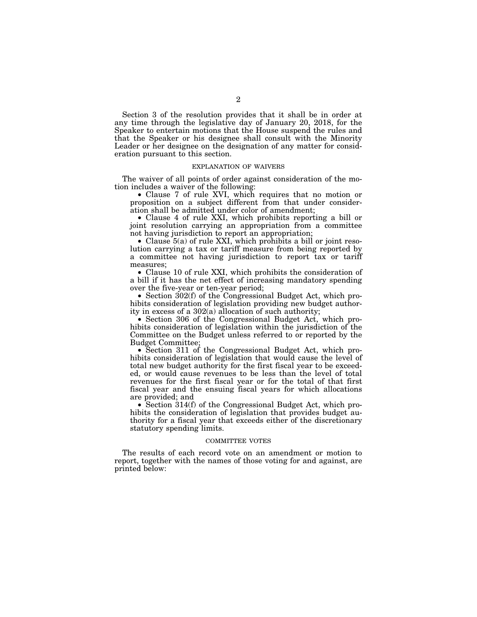Section 3 of the resolution provides that it shall be in order at any time through the legislative day of January 20, 2018, for the Speaker to entertain motions that the House suspend the rules and that the Speaker or his designee shall consult with the Minority Leader or her designee on the designation of any matter for consideration pursuant to this section.

#### EXPLANATION OF WAIVERS

The waiver of all points of order against consideration of the motion includes a waiver of the following:

• Clause 7 of rule XVI, which requires that no motion or proposition on a subject different from that under consideration shall be admitted under color of amendment;

• Clause 4 of rule XXI, which prohibits reporting a bill or joint resolution carrying an appropriation from a committee not having jurisdiction to report an appropriation;

• Clause  $5(a)$  of rule XXI, which prohibits a bill or joint resolution carrying a tax or tariff measure from being reported by a committee not having jurisdiction to report tax or tariff measures;

• Clause 10 of rule XXI, which prohibits the consideration of a bill if it has the net effect of increasing mandatory spending over the five-year or ten-year period;

• Section 302(f) of the Congressional Budget Act, which prohibits consideration of legislation providing new budget authority in excess of a 302(a) allocation of such authority;

• Section 306 of the Congressional Budget Act, which prohibits consideration of legislation within the jurisdiction of the Committee on the Budget unless referred to or reported by the Budget Committee;

• Section 311 of the Congressional Budget Act, which prohibits consideration of legislation that would cause the level of total new budget authority for the first fiscal year to be exceeded, or would cause revenues to be less than the level of total revenues for the first fiscal year or for the total of that first fiscal year and the ensuing fiscal years for which allocations are provided; and

• Section 314(f) of the Congressional Budget Act, which prohibits the consideration of legislation that provides budget authority for a fiscal year that exceeds either of the discretionary statutory spending limits.

#### COMMITTEE VOTES

The results of each record vote on an amendment or motion to report, together with the names of those voting for and against, are printed below: